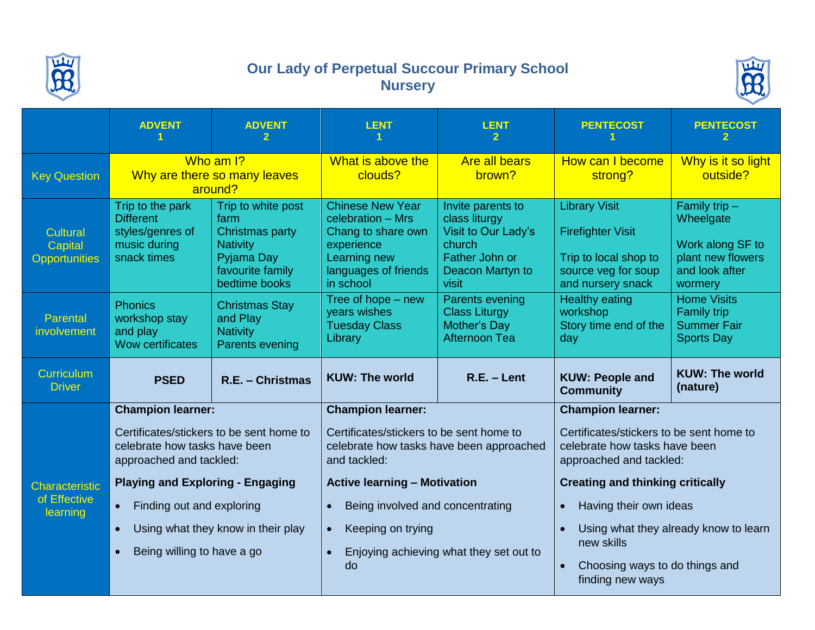

## **Our Lady of Perpetual Succour Primary School Nursery**



|                                             | <b>ADVENT</b>                                                                           | <b>ADVENT</b>                                                                                                       | <b>LENT</b>                                                                                                                           | <b>LENT</b><br>$\mathbf{2}$                                                                                        | <b>PENTECOST</b>                                                                                                      | <b>PENTECOST</b>                                                                                   |
|---------------------------------------------|-----------------------------------------------------------------------------------------|---------------------------------------------------------------------------------------------------------------------|---------------------------------------------------------------------------------------------------------------------------------------|--------------------------------------------------------------------------------------------------------------------|-----------------------------------------------------------------------------------------------------------------------|----------------------------------------------------------------------------------------------------|
| <b>Key Question</b>                         | Who am I?<br>Why are there so many leaves<br>around?                                    |                                                                                                                     | What is above the<br>clouds?                                                                                                          | <b>Are all bears</b><br>brown?                                                                                     | How can I become<br>strong?                                                                                           | Why is it so light<br>outside?                                                                     |
| Cultural<br>Capital<br><b>Opportunities</b> | Trip to the park<br><b>Different</b><br>styles/genres of<br>music during<br>snack times | Trip to white post<br>farm<br>Christmas party<br><b>Nativity</b><br>Pyjama Day<br>favourite family<br>bedtime books | <b>Chinese New Year</b><br>celebration - Mrs<br>Chang to share own<br>experience<br>Learning new<br>languages of friends<br>in school | Invite parents to<br>class liturgy<br>Visit to Our Lady's<br>church<br>Father John or<br>Deacon Martyn to<br>visit | <b>Library Visit</b><br><b>Firefighter Visit</b><br>Trip to local shop to<br>source veg for soup<br>and nursery snack | Family trip $-$<br>Wheelgate<br>Work along SF to<br>plant new flowers<br>and look after<br>wormery |
| Parental<br>involvement                     | <b>Phonics</b><br>workshop stay<br>and play<br><b>Wow certificates</b>                  | <b>Christmas Stay</b><br>and Play<br><b>Nativity</b><br>Parents evening                                             | Tree of hope - new<br>years wishes<br><b>Tuesday Class</b><br>Library                                                                 | Parents evening<br><b>Class Liturgy</b><br>Mother's Day<br><b>Afternoon Tea</b>                                    | <b>Healthy eating</b><br>workshop<br>Story time end of the<br>day                                                     | <b>Home Visits</b><br><b>Family trip</b><br><b>Summer Fair</b><br><b>Sports Day</b>                |
|                                             |                                                                                         |                                                                                                                     |                                                                                                                                       |                                                                                                                    |                                                                                                                       |                                                                                                    |
| Curriculum<br><b>Driver</b>                 | <b>PSED</b>                                                                             | R.E. - Christmas                                                                                                    | <b>KUW: The world</b>                                                                                                                 | $R.E. - Lent$                                                                                                      | <b>KUW: People and</b><br><b>Community</b>                                                                            | <b>KUW: The world</b><br>(nature)                                                                  |
|                                             | <b>Champion learner:</b>                                                                |                                                                                                                     | <b>Champion learner:</b>                                                                                                              |                                                                                                                    | <b>Champion learner:</b>                                                                                              |                                                                                                    |
|                                             | celebrate how tasks have been<br>approached and tackled:                                | Certificates/stickers to be sent home to                                                                            | Certificates/stickers to be sent home to<br>celebrate how tasks have been approached<br>and tackled:                                  |                                                                                                                    | Certificates/stickers to be sent home to<br>celebrate how tasks have been<br>approached and tackled:                  |                                                                                                    |
| <b>Characteristic</b>                       | <b>Playing and Exploring - Engaging</b>                                                 |                                                                                                                     | <b>Active learning - Motivation</b>                                                                                                   |                                                                                                                    | <b>Creating and thinking critically</b>                                                                               |                                                                                                    |
| of Effective                                | Finding out and exploring<br>$\bullet$                                                  |                                                                                                                     | Being involved and concentrating<br>$\bullet$                                                                                         |                                                                                                                    | Having their own ideas<br>$\bullet$                                                                                   |                                                                                                    |
| learning                                    | $\bullet$                                                                               | Using what they know in their play                                                                                  | Keeping on trying<br>$\bullet$                                                                                                        |                                                                                                                    | new skills                                                                                                            | Using what they already know to learn                                                              |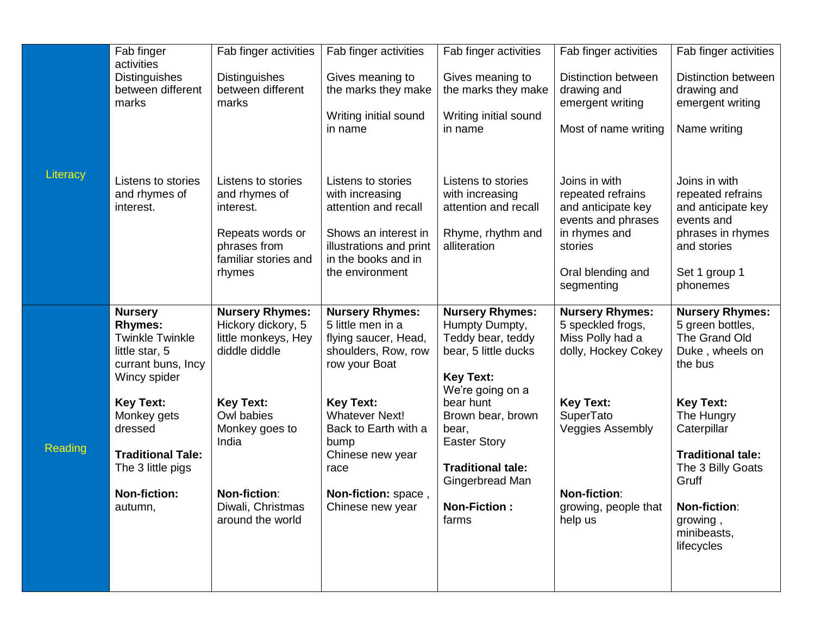|          | Fab finger                                                                                                                                                                                                                                          | Fab finger activities                                                                                                                                                                  | Fab finger activities                                                                                                                                                                                                                                           | Fab finger activities                                                                                                                                                                                                                                                 | Fab finger activities                                                                                                                                                                             | Fab finger activities                                                                                                                                                                                                |
|----------|-----------------------------------------------------------------------------------------------------------------------------------------------------------------------------------------------------------------------------------------------------|----------------------------------------------------------------------------------------------------------------------------------------------------------------------------------------|-----------------------------------------------------------------------------------------------------------------------------------------------------------------------------------------------------------------------------------------------------------------|-----------------------------------------------------------------------------------------------------------------------------------------------------------------------------------------------------------------------------------------------------------------------|---------------------------------------------------------------------------------------------------------------------------------------------------------------------------------------------------|----------------------------------------------------------------------------------------------------------------------------------------------------------------------------------------------------------------------|
|          | activities<br><b>Distinguishes</b><br>between different<br>marks                                                                                                                                                                                    | <b>Distinguishes</b><br>between different<br>marks                                                                                                                                     | Gives meaning to<br>the marks they make<br>Writing initial sound<br>in name                                                                                                                                                                                     | Gives meaning to<br>the marks they make<br>Writing initial sound<br>in name                                                                                                                                                                                           | <b>Distinction between</b><br>drawing and<br>emergent writing<br>Most of name writing                                                                                                             | Distinction between<br>drawing and<br>emergent writing<br>Name writing                                                                                                                                               |
| Literacy | Listens to stories<br>and rhymes of<br>interest.                                                                                                                                                                                                    | Listens to stories<br>and rhymes of<br>interest.<br>Repeats words or<br>phrases from<br>familiar stories and<br>rhymes                                                                 | Listens to stories<br>with increasing<br>attention and recall<br>Shows an interest in<br>illustrations and print<br>in the books and in<br>the environment                                                                                                      | Listens to stories<br>with increasing<br>attention and recall<br>Rhyme, rhythm and<br>alliteration                                                                                                                                                                    | Joins in with<br>repeated refrains<br>and anticipate key<br>events and phrases<br>in rhymes and<br>stories<br>Oral blending and<br>segmenting                                                     | Joins in with<br>repeated refrains<br>and anticipate key<br>events and<br>phrases in rhymes<br>and stories<br>Set 1 group 1<br>phonemes                                                                              |
| Reading  | <b>Nursery</b><br><b>Rhymes:</b><br><b>Twinkle Twinkle</b><br>little star, 5<br>currant buns, Incy<br>Wincy spider<br><b>Key Text:</b><br>Monkey gets<br>dressed<br><b>Traditional Tale:</b><br>The 3 little pigs<br><b>Non-fiction:</b><br>autumn, | <b>Nursery Rhymes:</b><br>Hickory dickory, 5<br>little monkeys, Hey<br>diddle diddle<br><b>Key Text:</b><br>Owl babies<br>Monkey goes to<br>India<br>Non-fiction:<br>Diwali, Christmas | <b>Nursery Rhymes:</b><br>5 little men in a<br>flying saucer, Head,<br>shoulders, Row, row<br>row your Boat<br><b>Key Text:</b><br><b>Whatever Next!</b><br>Back to Earth with a<br>bump<br>Chinese new year<br>race<br>Non-fiction: space,<br>Chinese new year | <b>Nursery Rhymes:</b><br>Humpty Dumpty,<br>Teddy bear, teddy<br>bear, 5 little ducks<br><b>Key Text:</b><br>We're going on a<br>bear hunt<br>Brown bear, brown<br>bear,<br><b>Easter Story</b><br><b>Traditional tale:</b><br>Gingerbread Man<br><b>Non-Fiction:</b> | <b>Nursery Rhymes:</b><br>5 speckled frogs,<br>Miss Polly had a<br>dolly, Hockey Cokey<br><b>Key Text:</b><br>SuperTato<br><b>Veggies Assembly</b><br><b>Non-fiction:</b><br>growing, people that | <b>Nursery Rhymes:</b><br>5 green bottles,<br>The Grand Old<br>Duke, wheels on<br>the bus<br><b>Key Text:</b><br>The Hungry<br>Caterpillar<br><b>Traditional tale:</b><br>The 3 Billy Goats<br>Gruff<br>Non-fiction: |
|          |                                                                                                                                                                                                                                                     | around the world                                                                                                                                                                       |                                                                                                                                                                                                                                                                 | farms                                                                                                                                                                                                                                                                 | help us                                                                                                                                                                                           | growing,<br>minibeasts,<br>lifecycles                                                                                                                                                                                |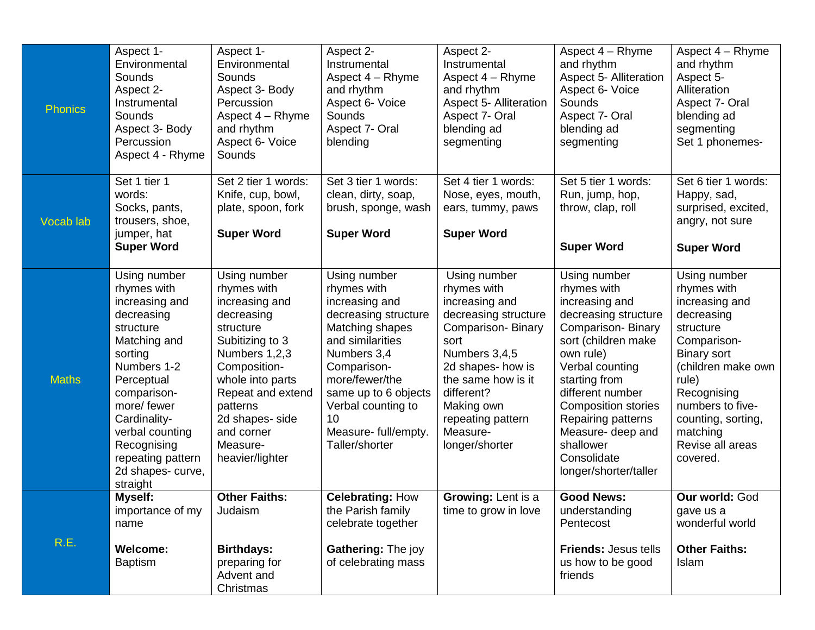| <b>Phonics</b> | Aspect 1-<br>Environmental<br>Sounds<br>Aspect 2-<br>Instrumental<br>Sounds<br>Aspect 3- Body<br>Percussion<br>Aspect 4 - Rhyme                                                                                                                                        | Aspect 1-<br>Environmental<br>Sounds<br>Aspect 3- Body<br>Percussion<br>Aspect 4 - Rhyme<br>and rhythm<br>Aspect 6- Voice<br>Sounds                                                                                                               | Aspect 2-<br>Instrumental<br>Aspect 4 - Rhyme<br>and rhythm<br>Aspect 6- Voice<br>Sounds<br>Aspect 7- Oral<br>blending                                                                                                                                     | Aspect 2-<br>Instrumental<br>Aspect 4 - Rhyme<br>and rhythm<br><b>Aspect 5- Alliteration</b><br>Aspect 7- Oral<br>blending ad<br>segmenting                                                                                                   | Aspect 4 - Rhyme<br>and rhythm<br><b>Aspect 5- Alliteration</b><br>Aspect 6- Voice<br>Sounds<br>Aspect 7- Oral<br>blending ad<br>segmenting                                                                                                                                                                                 | Aspect 4 - Rhyme<br>and rhythm<br>Aspect 5-<br>Alliteration<br>Aspect 7- Oral<br>blending ad<br>segmenting<br>Set 1 phonemes-                                                                                                                     |
|----------------|------------------------------------------------------------------------------------------------------------------------------------------------------------------------------------------------------------------------------------------------------------------------|---------------------------------------------------------------------------------------------------------------------------------------------------------------------------------------------------------------------------------------------------|------------------------------------------------------------------------------------------------------------------------------------------------------------------------------------------------------------------------------------------------------------|-----------------------------------------------------------------------------------------------------------------------------------------------------------------------------------------------------------------------------------------------|-----------------------------------------------------------------------------------------------------------------------------------------------------------------------------------------------------------------------------------------------------------------------------------------------------------------------------|---------------------------------------------------------------------------------------------------------------------------------------------------------------------------------------------------------------------------------------------------|
| Vocab lab      | Set 1 tier 1<br>words:<br>Socks, pants,<br>trousers, shoe,<br>jumper, hat<br><b>Super Word</b>                                                                                                                                                                         | Set 2 tier 1 words:<br>Knife, cup, bowl,<br>plate, spoon, fork<br><b>Super Word</b>                                                                                                                                                               | Set 3 tier 1 words:<br>clean, dirty, soap,<br>brush, sponge, wash<br><b>Super Word</b>                                                                                                                                                                     | Set 4 tier 1 words:<br>Nose, eyes, mouth,<br>ears, tummy, paws<br><b>Super Word</b>                                                                                                                                                           | Set 5 tier 1 words:<br>Run, jump, hop,<br>throw, clap, roll<br><b>Super Word</b>                                                                                                                                                                                                                                            | Set 6 tier 1 words:<br>Happy, sad,<br>surprised, excited,<br>angry, not sure<br><b>Super Word</b>                                                                                                                                                 |
| <b>Maths</b>   | Using number<br>rhymes with<br>increasing and<br>decreasing<br>structure<br>Matching and<br>sorting<br>Numbers 1-2<br>Perceptual<br>comparison-<br>more/ fewer<br>Cardinality-<br>verbal counting<br>Recognising<br>repeating pattern<br>2d shapes- curve,<br>straight | Using number<br>rhymes with<br>increasing and<br>decreasing<br>structure<br>Subitizing to 3<br>Numbers 1,2,3<br>Composition-<br>whole into parts<br>Repeat and extend<br>patterns<br>2d shapes- side<br>and corner<br>Measure-<br>heavier/lighter | Using number<br>rhymes with<br>increasing and<br>decreasing structure<br>Matching shapes<br>and similarities<br>Numbers 3,4<br>Comparison-<br>more/fewer/the<br>same up to 6 objects<br>Verbal counting to<br>10<br>Measure- full/empty.<br>Taller/shorter | Using number<br>rhymes with<br>increasing and<br>decreasing structure<br>Comparison-Binary<br>sort<br>Numbers 3,4,5<br>2d shapes- how is<br>the same how is it<br>different?<br>Making own<br>repeating pattern<br>Measure-<br>longer/shorter | Using number<br>rhymes with<br>increasing and<br>decreasing structure<br><b>Comparison-Binary</b><br>sort (children make<br>own rule)<br>Verbal counting<br>starting from<br>different number<br><b>Composition stories</b><br>Repairing patterns<br>Measure- deep and<br>shallower<br>Consolidate<br>longer/shorter/taller | Using number<br>rhymes with<br>increasing and<br>decreasing<br>structure<br>Comparison-<br><b>Binary sort</b><br>(children make own<br>rule)<br>Recognising<br>numbers to five-<br>counting, sorting,<br>matching<br>Revise all areas<br>covered. |
| R.E.           | Myself:<br>importance of my<br>name<br><b>Welcome:</b><br><b>Baptism</b>                                                                                                                                                                                               | <b>Other Faiths:</b><br>Judaism<br><b>Birthdays:</b><br>preparing for<br>Advent and<br>Christmas                                                                                                                                                  | <b>Celebrating: How</b><br>the Parish family<br>celebrate together<br>Gathering: The joy<br>of celebrating mass                                                                                                                                            | <b>Growing: Lent is a</b><br>time to grow in love                                                                                                                                                                                             | <b>Good News:</b><br>understanding<br>Pentecost<br><b>Friends: Jesus tells</b><br>us how to be good<br>friends                                                                                                                                                                                                              | Our world: God<br>gave us a<br>wonderful world<br><b>Other Faiths:</b><br>Islam                                                                                                                                                                   |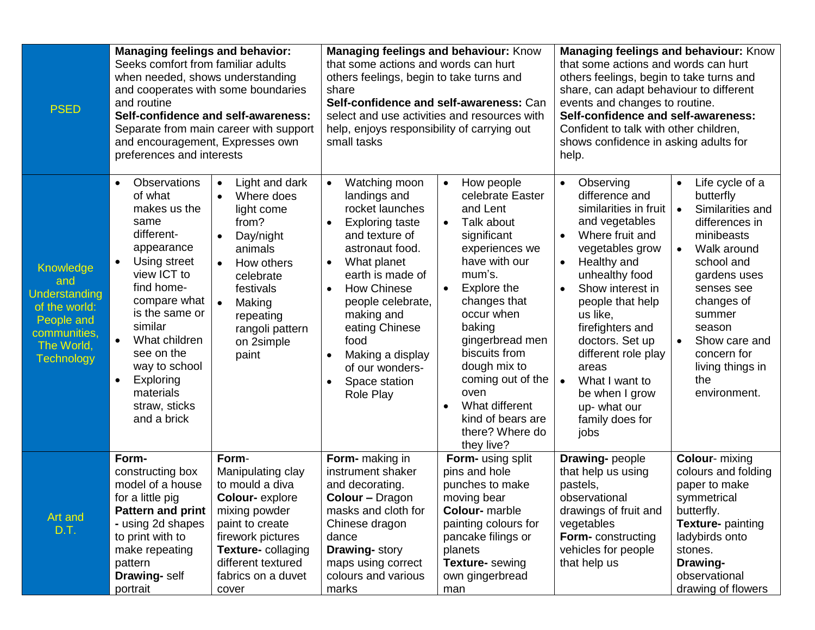| <b>PSED</b>                                                                                                         | <b>Managing feelings and behavior:</b><br>Seeks comfort from familiar adults<br>when needed, shows understanding<br>and cooperates with some boundaries<br>and routine<br>Self-confidence and self-awareness:<br>Separate from main career with support<br>and encouragement, Expresses own<br>preferences and interests |                                                                                                                                                                                                                                          | <b>Managing feelings and behaviour: Know</b><br>that some actions and words can hurt<br>others feelings, begin to take turns and<br>share<br>Self-confidence and self-awareness: Can<br>select and use activities and resources with<br>help, enjoys responsibility of carrying out<br>small tasks                                                       |                                                                                                                                                                                                                                                                                                                                                                | <b>Managing feelings and behaviour: Know</b><br>that some actions and words can hurt<br>others feelings, begin to take turns and<br>share, can adapt behaviour to different<br>events and changes to routine.<br>Self-confidence and self-awareness:<br>Confident to talk with other children,<br>shows confidence in asking adults for<br>help.                                                            |                                                                                                                                                                                                                                                                                                 |
|---------------------------------------------------------------------------------------------------------------------|--------------------------------------------------------------------------------------------------------------------------------------------------------------------------------------------------------------------------------------------------------------------------------------------------------------------------|------------------------------------------------------------------------------------------------------------------------------------------------------------------------------------------------------------------------------------------|----------------------------------------------------------------------------------------------------------------------------------------------------------------------------------------------------------------------------------------------------------------------------------------------------------------------------------------------------------|----------------------------------------------------------------------------------------------------------------------------------------------------------------------------------------------------------------------------------------------------------------------------------------------------------------------------------------------------------------|-------------------------------------------------------------------------------------------------------------------------------------------------------------------------------------------------------------------------------------------------------------------------------------------------------------------------------------------------------------------------------------------------------------|-------------------------------------------------------------------------------------------------------------------------------------------------------------------------------------------------------------------------------------------------------------------------------------------------|
| Knowledge<br>and<br>Understanding<br>of the world:<br>People and<br>communities,<br>The World,<br><b>Technology</b> | <b>Observations</b><br>$\bullet$<br>of what<br>makes us the<br>same<br>different-<br>appearance<br>Using street<br>view ICT to<br>find home-<br>compare what<br>is the same or<br>similar<br>What children<br>see on the<br>way to school<br>Exploring<br>$\bullet$<br>materials<br>straw, sticks<br>and a brick         | Light and dark<br>$\bullet$<br>Where does<br>$\bullet$<br>light come<br>from?<br>Day/night<br>$\bullet$<br>animals<br>How others<br>celebrate<br>festivals<br>Making<br>$\bullet$<br>repeating<br>rangoli pattern<br>on 2simple<br>paint | Watching moon<br>$\bullet$<br>landings and<br>rocket launches<br><b>Exploring taste</b><br>$\bullet$<br>and texture of<br>astronaut food.<br>What planet<br>$\bullet$<br>earth is made of<br><b>How Chinese</b><br>people celebrate,<br>making and<br>eating Chinese<br>food<br>Making a display<br>of our wonders-<br>Space station<br><b>Role Play</b> | How people<br>$\bullet$<br>celebrate Easter<br>and Lent<br>Talk about<br>$\bullet$<br>significant<br>experiences we<br>have with our<br>mum's.<br>Explore the<br>changes that<br>occur when<br>baking<br>gingerbread men<br>biscuits from<br>dough mix to<br>coming out of the<br>oven<br>What different<br>kind of bears are<br>there? Where do<br>they live? | Observing<br>$\bullet$<br>difference and<br>similarities in fruit<br>and vegetables<br>Where fruit and<br>$\bullet$<br>vegetables grow<br>Healthy and<br>$\bullet$<br>unhealthy food<br>Show interest in<br>people that help<br>us like,<br>firefighters and<br>doctors. Set up<br>different role play<br>areas<br>What I want to<br>$\bullet$<br>be when I grow<br>up- what our<br>family does for<br>jobs | Life cycle of a<br>$\bullet$<br>butterfly<br>Similarities and<br>$\bullet$<br>differences in<br>minibeasts<br>Walk around<br>$\bullet$<br>school and<br>gardens uses<br>senses see<br>changes of<br>summer<br>season<br>Show care and<br>concern for<br>living things in<br>the<br>environment. |
| Art and<br>D.T.                                                                                                     | Form-<br>constructing box<br>model of a house<br>for a little pig<br><b>Pattern and print</b><br>- using 2d shapes<br>to print with to<br>make repeating<br>pattern<br><b>Drawing-self</b><br>portrait                                                                                                                   | Form-<br>Manipulating clay<br>to mould a diva<br><b>Colour-</b> explore<br>mixing powder<br>paint to create<br>firework pictures<br>Texture- collaging<br>different textured<br>fabrics on a duvet<br>cover                              | Form- making in<br>instrument shaker<br>and decorating.<br><b>Colour - Dragon</b><br>masks and cloth for<br>Chinese dragon<br>dance<br><b>Drawing-story</b><br>maps using correct<br>colours and various<br>marks                                                                                                                                        | <b>Form-</b> using split<br>pins and hole<br>punches to make<br>moving bear<br><b>Colour-</b> marble<br>painting colours for<br>pancake filings or<br>planets<br>Texture- sewing<br>own gingerbread<br>man                                                                                                                                                     | <b>Drawing-people</b><br>that help us using<br>pastels,<br>observational<br>drawings of fruit and<br>vegetables<br>Form-constructing<br>vehicles for people<br>that help us                                                                                                                                                                                                                                 | <b>Colour-</b> mixing<br>colours and folding<br>paper to make<br>symmetrical<br>butterfly.<br><b>Texture-</b> painting<br>ladybirds onto<br>stones.<br>Drawing-<br>observational<br>drawing of flowers                                                                                          |